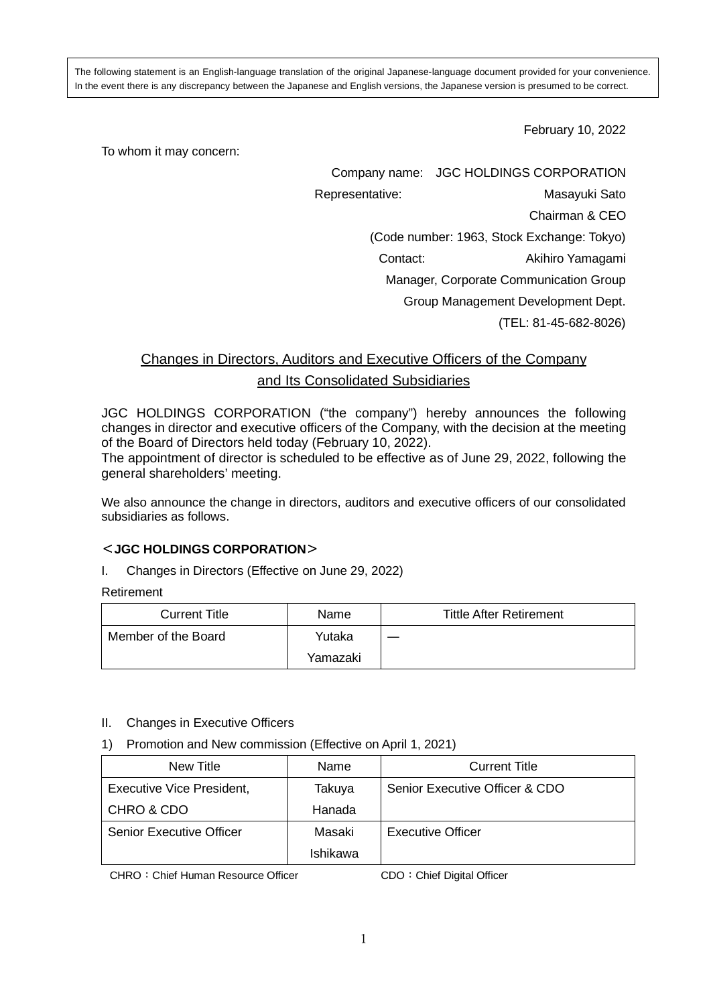The following statement is an English-language translation of the original Japanese-language document provided for your convenience. In the event there is any discrepancy between the Japanese and English versions, the Japanese version is presumed to be correct.

February 10, 2022

To whom it may concern:

Company name: JGC HOLDINGS CORPORATION

Representative: Masayuki Sato

Chairman & CEO

(Code number: 1963, Stock Exchange: Tokyo)

Contact: Akihiro Yamagami

Manager, Corporate Communication Group

Group Management Development Dept.

(TEL: 81-45-682-8026)

# Changes in Directors, Auditors and Executive Officers of the Company and Its Consolidated Subsidiaries

JGC HOLDINGS CORPORATION ("the company") hereby announces the following changes in director and executive officers of the Company, with the decision at the meeting of the Board of Directors held today (February 10, 2022).

The appointment of director is scheduled to be effective as of June 29, 2022, following the general shareholders' meeting.

We also announce the change in directors, auditors and executive officers of our consolidated subsidiaries as follows.

## <**JGC HOLDINGS CORPORATION**>

I. Changes in Directors (Effective on June 29, 2022)

Retirement

| <b>Current Title</b> | Name     | <b>Tittle After Retirement</b> |
|----------------------|----------|--------------------------------|
| Member of the Board  | Yutaka   |                                |
|                      | Yamazaki |                                |

#### II. Changes in Executive Officers

1) Promotion and New commission (Effective on April 1, 2021)

| New Title                 | Name     | <b>Current Title</b>           |
|---------------------------|----------|--------------------------------|
| Executive Vice President, | Takuya   | Senior Executive Officer & CDO |
| CHRO & CDO                | Hanada   |                                |
| Senior Executive Officer  | Masaki   | <b>Executive Officer</b>       |
|                           | Ishikawa |                                |

CHRO: Chief Human Resource Officer CDO: Chief Digital Officer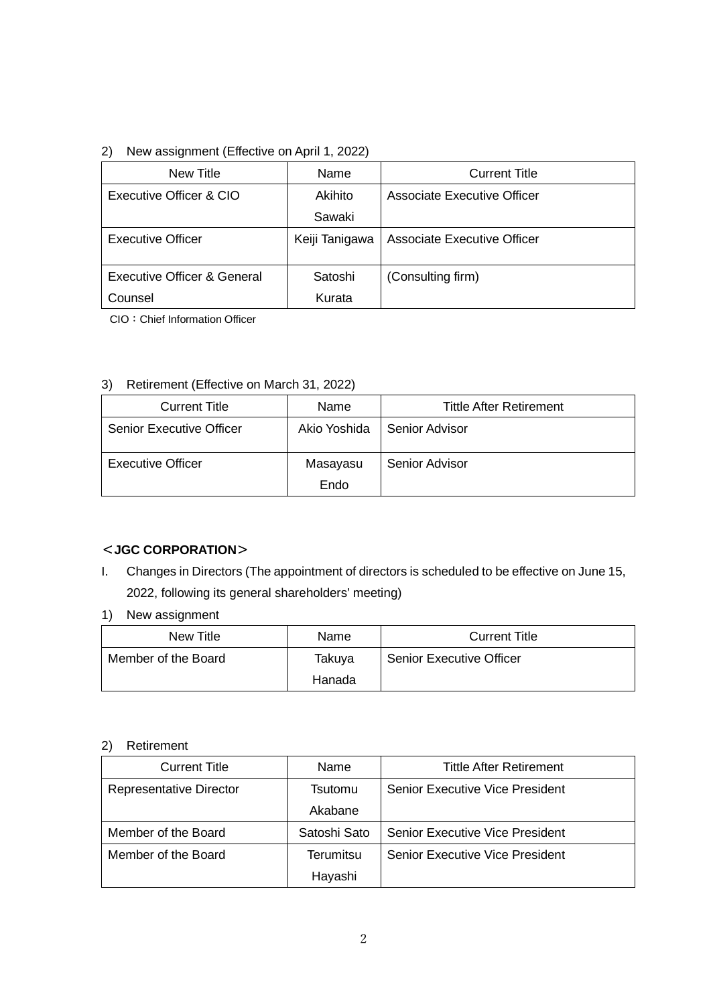### 2) New assignment (Effective on April 1, 2022)

| New Title                   | Name           | <b>Current Title</b>               |
|-----------------------------|----------------|------------------------------------|
| Executive Officer & CIO     | Akihito        | Associate Executive Officer        |
|                             | Sawaki         |                                    |
| <b>Executive Officer</b>    | Keiji Tanigawa | <b>Associate Executive Officer</b> |
|                             |                |                                    |
| Executive Officer & General | Satoshi        | (Consulting firm)                  |
| Counsel                     | Kurata         |                                    |

CIO:Chief Information Officer

#### 3) Retirement (Effective on March 31, 2022)

| Name         | Tittle After Retirement |
|--------------|-------------------------|
| Akio Yoshida | Senior Advisor          |
| Masayasu     | Senior Advisor          |
|              | Endo                    |

# <**JGC CORPORATION**>

- I. Changes in Directors (The appointment of directors is scheduled to be effective on June 15, 2022, following its general shareholders' meeting)
- 1) New assignment

| New Title           | Name   | <b>Current Title</b>            |
|---------------------|--------|---------------------------------|
| Member of the Board | Takuya | <b>Senior Executive Officer</b> |
|                     | Hanada |                                 |

#### 2) Retirement

| <b>Current Title</b>    | Name         | <b>Tittle After Retirement</b>         |
|-------------------------|--------------|----------------------------------------|
| Representative Director | Tsutomu      | <b>Senior Executive Vice President</b> |
|                         | Akabane      |                                        |
| Member of the Board     | Satoshi Sato | <b>Senior Executive Vice President</b> |
| Member of the Board     | Terumitsu    | <b>Senior Executive Vice President</b> |
|                         | Hayashi      |                                        |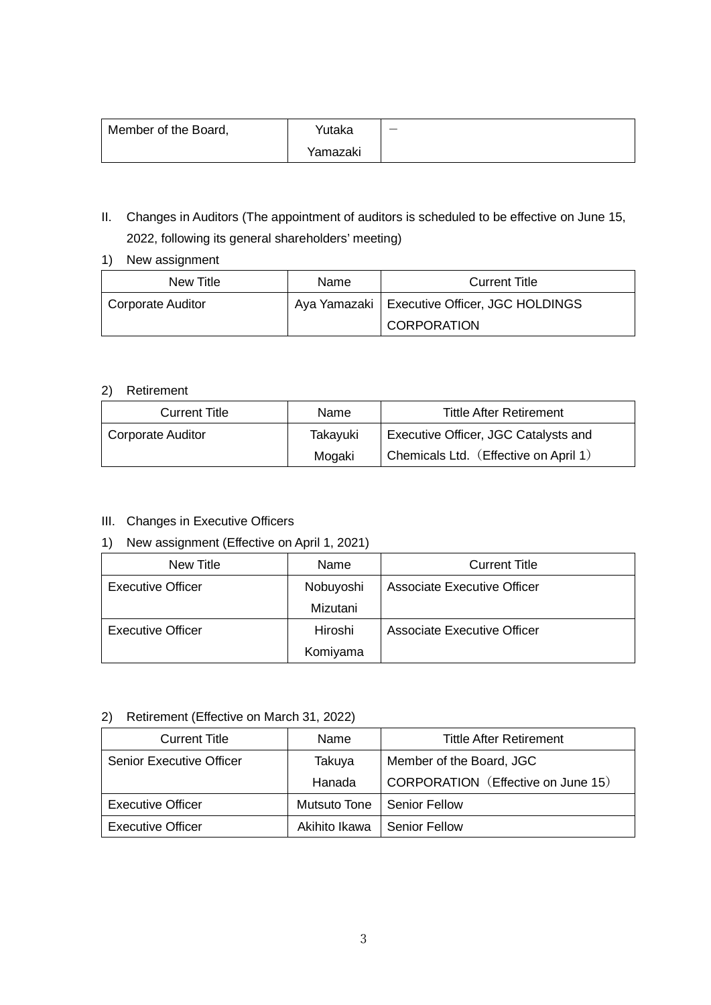| Member of the Board, | Yutaka   |  |
|----------------------|----------|--|
|                      | Yamazaki |  |

- II. Changes in Auditors (The appointment of auditors is scheduled to be effective on June 15, 2022, following its general shareholders' meeting)
- 1) New assignment

| New Title         | Name | <b>Current Title</b>                           |
|-------------------|------|------------------------------------------------|
| Corporate Auditor |      | Aya Yamazaki   Executive Officer, JGC HOLDINGS |
|                   |      | <b>CORPORATION</b>                             |

#### 2) Retirement

| <b>Current Title</b> | Name     | <b>Tittle After Retirement</b>        |
|----------------------|----------|---------------------------------------|
| Corporate Auditor    | Takayuki | Executive Officer, JGC Catalysts and  |
|                      | Mogaki   | Chemicals Ltd. (Effective on April 1) |

#### III. Changes in Executive Officers

# 1) New assignment (Effective on April 1, 2021)

| New Title         | Name      | <b>Current Title</b>        |
|-------------------|-----------|-----------------------------|
| Executive Officer | Nobuyoshi | Associate Executive Officer |
|                   | Mizutani  |                             |
| Executive Officer | Hiroshi   | Associate Executive Officer |
|                   | Komiyama  |                             |

#### 2) Retirement (Effective on March 31, 2022)

| <b>Current Title</b>            | Name          | <b>Tittle After Retirement</b>     |
|---------------------------------|---------------|------------------------------------|
| <b>Senior Executive Officer</b> | Takuya        | Member of the Board, JGC           |
|                                 | Hanada        | CORPORATION (Effective on June 15) |
| Executive Officer               | Mutsuto Tone  | <b>Senior Fellow</b>               |
| <b>Executive Officer</b>        | Akihito Ikawa | <b>Senior Fellow</b>               |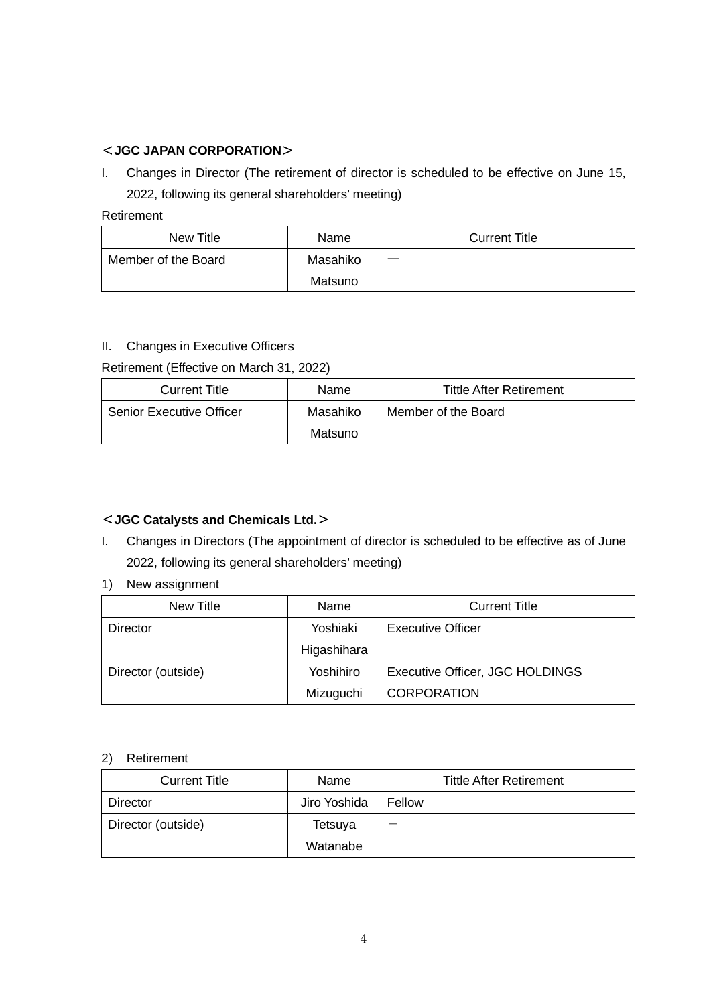## <**JGC JAPAN CORPORATION**>

I. Changes in Director (The retirement of director is scheduled to be effective on June 15, 2022, following its general shareholders' meeting)

#### Retirement

| New Title           | Name     | <b>Current Title</b> |
|---------------------|----------|----------------------|
| Member of the Board | Masahiko |                      |
|                     | Matsuno  |                      |

#### II. Changes in Executive Officers

Retirement (Effective on March 31, 2022)

| <b>Current Title</b>            | Name     | <b>Tittle After Retirement</b> |
|---------------------------------|----------|--------------------------------|
| <b>Senior Executive Officer</b> | Masahiko | Member of the Board            |
|                                 | Matsuno  |                                |

# <**JGC Catalysts and Chemicals Ltd.**>

I. Changes in Directors (The appointment of director is scheduled to be effective as of June 2022, following its general shareholders' meeting)

#### 1) New assignment

| New Title          | Name        | <b>Current Title</b>            |
|--------------------|-------------|---------------------------------|
| Director           | Yoshiaki    | Executive Officer               |
|                    | Higashihara |                                 |
| Director (outside) | Yoshihiro   | Executive Officer, JGC HOLDINGS |
|                    | Mizuguchi   | <b>CORPORATION</b>              |

#### 2) Retirement

| <b>Current Title</b> | Name         | <b>Tittle After Retirement</b> |
|----------------------|--------------|--------------------------------|
| Director             | Jiro Yoshida | Fellow                         |
| Director (outside)   | Tetsuya      |                                |
|                      | Watanabe     |                                |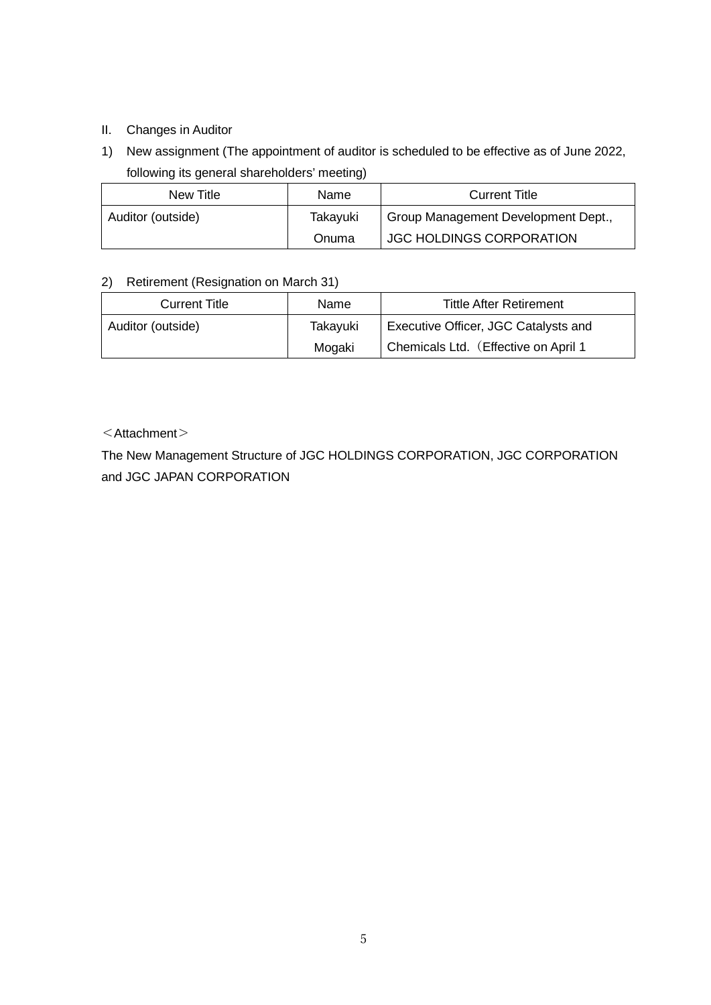## II. Changes in Auditor

1) New assignment (The appointment of auditor is scheduled to be effective as of June 2022, following its general shareholders' meeting)

| New Title         | Name     | <b>Current Title</b>                |
|-------------------|----------|-------------------------------------|
| Auditor (outside) | Takayuki | Group Management Development Dept., |
|                   | Onuma    | <b>JGC HOLDINGS CORPORATION</b>     |

#### 2) Retirement (Resignation on March 31)

| <b>Current Title</b> | Name     | <b>Tittle After Retirement</b>       |
|----------------------|----------|--------------------------------------|
| Auditor (outside)    | Takayuki | Executive Officer, JGC Catalysts and |
|                      | Mogaki   | Chemicals Ltd. (Effective on April 1 |

# $\leq$ Attachment $>$

The New Management Structure of JGC HOLDINGS CORPORATION, JGC CORPORATION and JGC JAPAN CORPORATION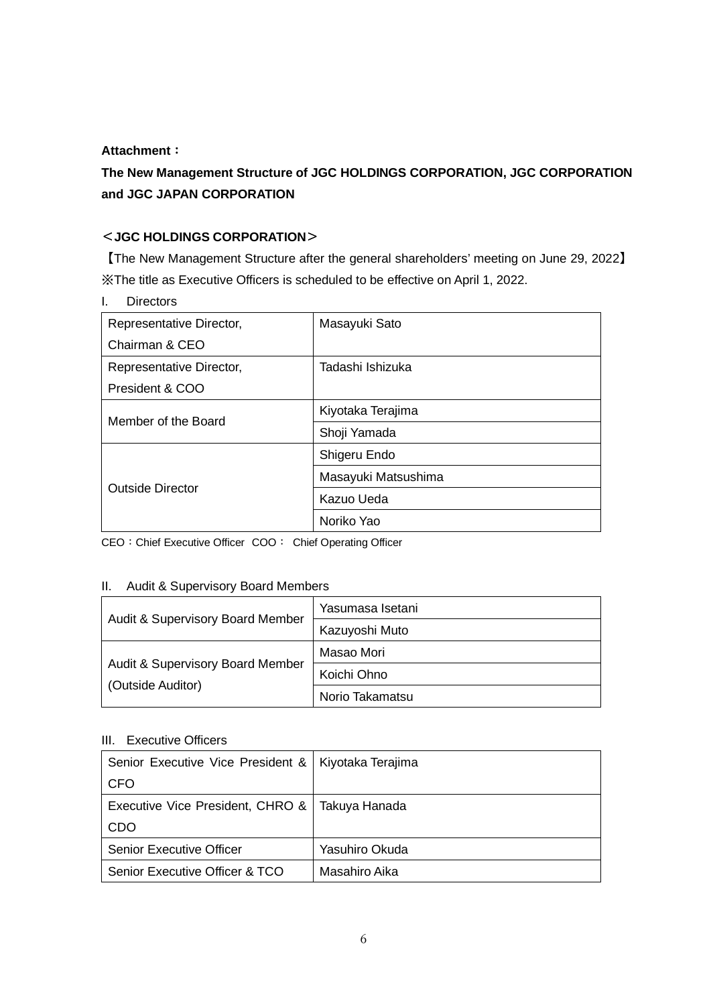#### **Attachment**:

# **The New Management Structure of JGC HOLDINGS CORPORATION, JGC CORPORATION and JGC JAPAN CORPORATION**

# <**JGC HOLDINGS CORPORATION**>

【The New Management Structure after the general shareholders' meeting on June 29, 2022】 ※The title as Executive Officers is scheduled to be effective on April 1, 2022.

| <b>Directors</b>         |                     |
|--------------------------|---------------------|
| Representative Director, | Masayuki Sato       |
| Chairman & CEO           |                     |
| Representative Director, | Tadashi Ishizuka    |
| President & COO          |                     |
| Member of the Board      | Kiyotaka Terajima   |
|                          | Shoji Yamada        |
| <b>Outside Director</b>  | Shigeru Endo        |
|                          | Masayuki Matsushima |
|                          | Kazuo Ueda          |
|                          | Noriko Yao          |

CEO: Chief Executive Officer COO: Chief Operating Officer

#### II. Audit & Supervisory Board Members

| Audit & Supervisory Board Member                                 | Yasumasa Isetani |
|------------------------------------------------------------------|------------------|
|                                                                  | Kazuyoshi Muto   |
| <b>Audit &amp; Supervisory Board Member</b><br>(Outside Auditor) | Masao Mori       |
|                                                                  | Koichi Ohno      |
|                                                                  | Norio Takamatsu  |

#### III. Executive Officers

| Senior Executive Vice President &   Kiyotaka Terajima |                |
|-------------------------------------------------------|----------------|
| <b>CFO</b>                                            |                |
| Executive Vice President, CHRO &   Takuya Hanada      |                |
| <b>CDO</b>                                            |                |
| <b>Senior Executive Officer</b>                       | Yasuhiro Okuda |
| Senior Executive Officer & TCO                        | Masahiro Aika  |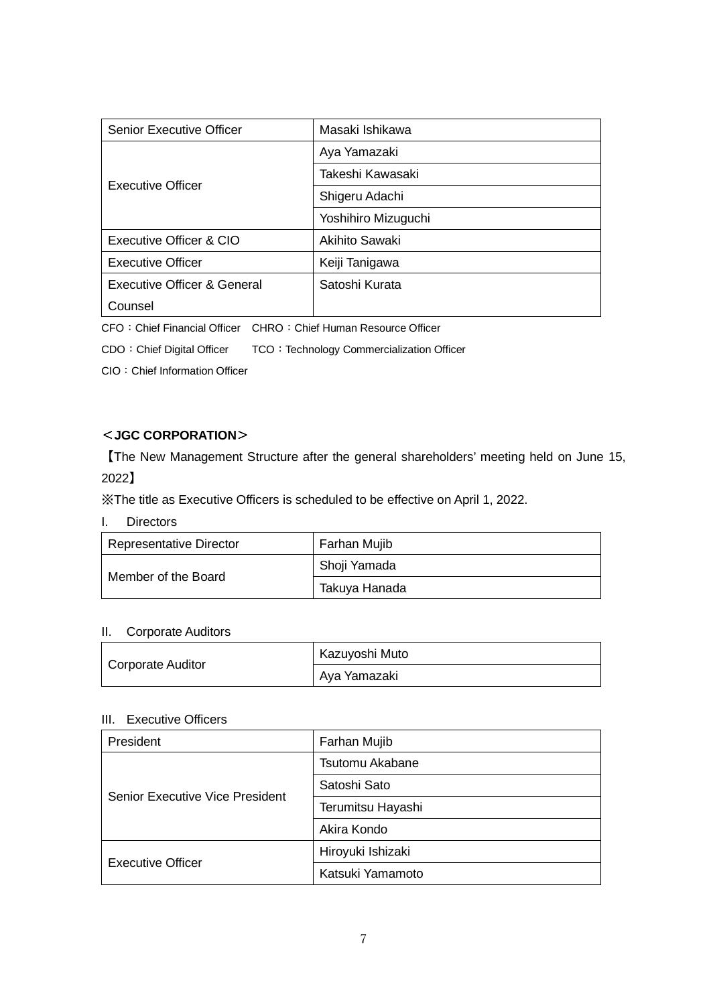| <b>Senior Executive Officer</b>        | Masaki Ishikawa     |
|----------------------------------------|---------------------|
| Executive Officer                      | Aya Yamazaki        |
|                                        | Takeshi Kawasaki    |
|                                        | Shigeru Adachi      |
|                                        | Yoshihiro Mizuguchi |
| Executive Officer & CIO                | Akihito Sawaki      |
| <b>Executive Officer</b>               | Keiji Tanigawa      |
| <b>Executive Officer &amp; General</b> | Satoshi Kurata      |
| Counsel                                |                     |

CFO: Chief Financial Officer CHRO: Chief Human Resource Officer

CDO: Chief Digital Officer TCO: Technology Commercialization Officer

CIO:Chief Information Officer

## <**JGC CORPORATION**>

【The New Management Structure after the general shareholders' meeting held on June 15, 2022】

※The title as Executive Officers is scheduled to be effective on April 1, 2022.

I. Directors

| <b>Representative Director</b> | Farhan Mujib  |
|--------------------------------|---------------|
| Member of the Board            | Shoji Yamada  |
|                                | Takuya Hanada |

# II. Corporate Auditors

|                   | Kazuyoshi Muto |
|-------------------|----------------|
| Corporate Auditor | Aya Yamazaki   |

#### III. Executive Officers

| President                       | Farhan Mujib      |
|---------------------------------|-------------------|
| Senior Executive Vice President | Tsutomu Akabane   |
|                                 | Satoshi Sato      |
|                                 | Terumitsu Hayashi |
|                                 | Akira Kondo       |
| Executive Officer               | Hiroyuki Ishizaki |
|                                 | Katsuki Yamamoto  |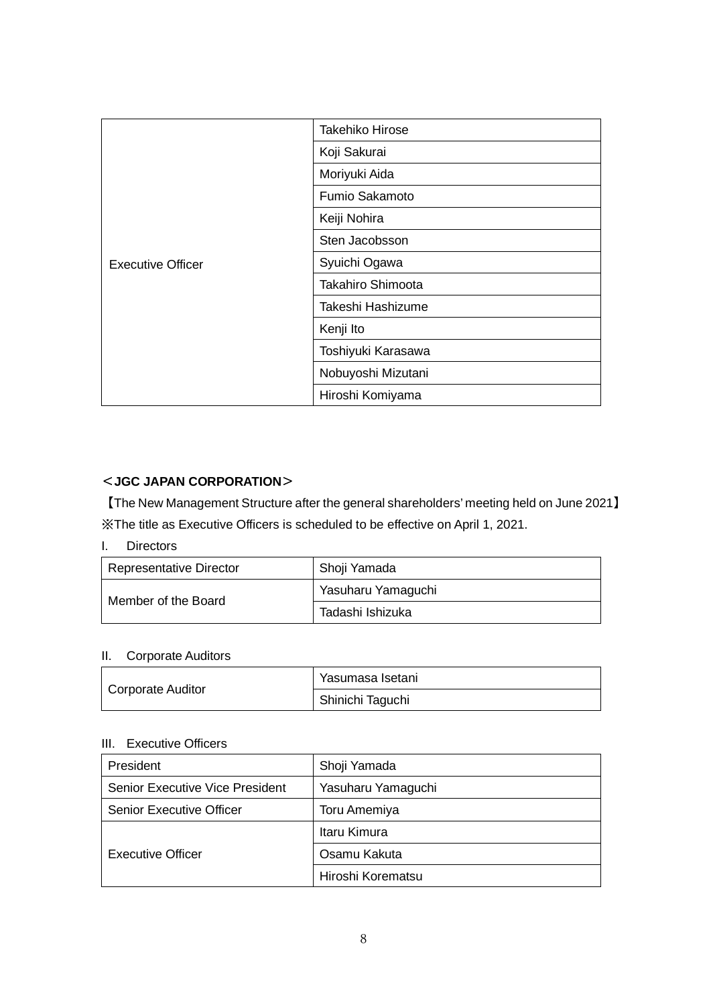| <b>Executive Officer</b> | Takehiko Hirose          |
|--------------------------|--------------------------|
|                          | Koji Sakurai             |
|                          | Moriyuki Aida            |
|                          | Fumio Sakamoto           |
|                          | Keiji Nohira             |
|                          | Sten Jacobsson           |
|                          | Syuichi Ogawa            |
|                          | <b>Takahiro Shimoota</b> |
|                          | Takeshi Hashizume        |
|                          | Kenji Ito                |
|                          | Toshiyuki Karasawa       |
|                          | Nobuyoshi Mizutani       |
|                          | Hiroshi Komiyama         |

# <**JGC JAPAN CORPORATION**>

【The New Management Structure after the general shareholders' meeting held on June 2021】 ※The title as Executive Officers is scheduled to be effective on April 1, 2021.

I. Directors

| <b>Representative Director</b> | Shoji Yamada       |
|--------------------------------|--------------------|
| Member of the Board            | Yasuharu Yamaguchi |
|                                | Tadashi Ishizuka   |

# II. Corporate Auditors

| Corporate Auditor | Yasumasa Isetani |
|-------------------|------------------|
|                   | Shinichi Taguchi |

# III. Executive Officers

| President                              | Shoji Yamada        |
|----------------------------------------|---------------------|
| <b>Senior Executive Vice President</b> | Yasuharu Yamaguchi  |
| <b>Senior Executive Officer</b>        | <b>Toru Amemiya</b> |
| <b>Executive Officer</b>               | Itaru Kimura        |
|                                        | Osamu Kakuta        |
|                                        | Hiroshi Korematsu   |